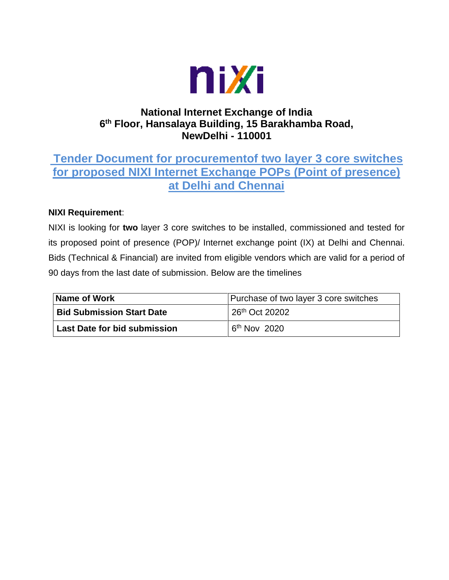

### **National Internet Exchange of India 6 th Floor, Hansalaya Building, 15 Barakhamba Road, NewDelhi - 110001**

# **Tender Document for procurementof two layer 3 core switches for proposed NIXI Internet Exchange POPs (Point of presence) at Delhi and Chennai**

#### **NIXI Requirement**:

NIXI is looking for **two** layer 3 core switches to be installed, commissioned and tested for its proposed point of presence (POP)/ Internet exchange point (IX) at Delhi and Chennai. Bids (Technical & Financial) are invited from eligible vendors which are valid for a period of 90 days from the last date of submission. Below are the timelines

| Name of Work                        | Purchase of two layer 3 core switches |  |
|-------------------------------------|---------------------------------------|--|
| <b>Bid Submission Start Date</b>    | 26th Oct 20202                        |  |
| <b>Last Date for bid submission</b> | $6th$ Nov 2020                        |  |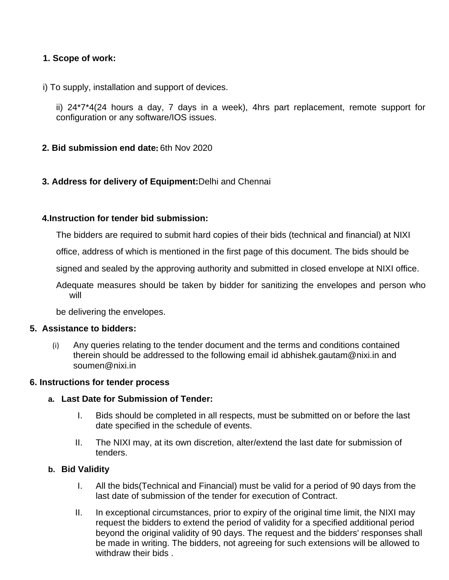#### **1. Scope of work:**

i) To supply, installation and support of devices.

ii) 24\*7\*4(24 hours a day, 7 days in a week), 4hrs part replacement, remote support for configuration or any software/IOS issues.

- **2. Bid submission end date**: 6th Nov 2020
- **3. Address for delivery of Equipment:**Delhi and Chennai

#### **4.Instruction for tender bid submission:**

The bidders are required to submit hard copies of their bids (technical and financial) at NIXI

office, address of which is mentioned in the first page of this document. The bids should be

signed and sealed by the approving authority and submitted in closed envelope at NIXI office.

Adequate measures should be taken by bidder for sanitizing the envelopes and person who will

be delivering the envelopes.

#### **5. Assistance to bidders:**

(i) Any queries relating to the tender document and the terms and conditions contained therein should be addressed to the following email id [abhishek.gautam@nixi.in](mailto:abhishek.gautam@nixi.in) and soumen@nixi.in

#### **6. Instructions for tender process**

#### **a. Last Date for Submission of Tender:**

- I. Bids should be completed in all respects, must be submitted on or before the last date specified in the schedule of events.
- II. The NIXI may, at its own discretion, alter/extend the last date for submission of tenders.

#### **b. Bid Validity**

- I. All the bids(Technical and Financial) must be valid for a period of 90 days from the last date of submission of the tender for execution of Contract.
- II. In exceptional circumstances, prior to expiry of the original time limit, the NIXI may request the bidders to extend the period of validity for a specified additional period beyond the original validity of 90 days. The request and the bidders' responses shall be made in writing. The bidders, not agreeing for such extensions will be allowed to withdraw their bids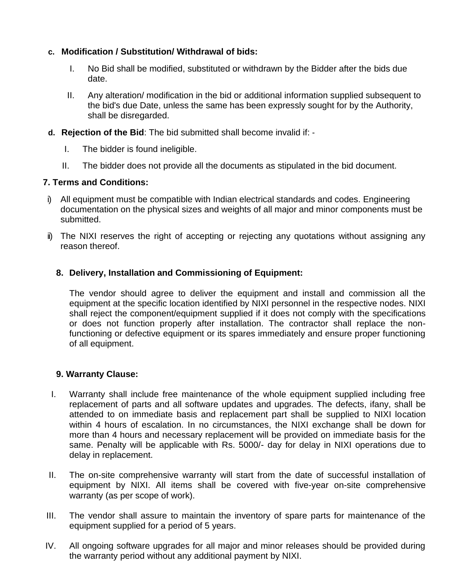#### **c. Modification / Substitution/ Withdrawal of bids:**

- I. No Bid shall be modified, substituted or withdrawn by the Bidder after the bids due date.
- II. Any alteration/ modification in the bid or additional information supplied subsequent to the bid's due Date, unless the same has been expressly sought for by the Authority, shall be disregarded.
- **d. Rejection of the Bid**: The bid submitted shall become invalid if: ‐
	- I. The bidder is found ineligible.
	- II. The bidder does not provide all the documents as stipulated in the bid document.

#### **7. Terms and Conditions:**

- i) All equipment must be compatible with Indian electrical standards and codes. Engineering documentation on the physical sizes and weights of all major and minor components must be submitted.
- ii) The NIXI reserves the right of accepting or rejecting any quotations without assigning any reason thereof.

#### **8. Delivery, Installation and Commissioning of Equipment:**

The vendor should agree to deliver the equipment and install and commission all the equipment at the specific location identified by NIXI personnel in the respective nodes. NIXI shall reject the component/equipment supplied if it does not comply with the specifications or does not function properly after installation. The contractor shall replace the nonfunctioning or defective equipment or its spares immediately and ensure proper functioning of all equipment.

#### **9. Warranty Clause:**

- I. Warranty shall include free maintenance of the whole equipment supplied including free replacement of parts and all software updates and upgrades. The defects, ifany, shall be attended to on immediate basis and replacement part shall be supplied to NIXI location within 4 hours of escalation. In no circumstances, the NIXI exchange shall be down for more than 4 hours and necessary replacement will be provided on immediate basis for the same. Penalty will be applicable with Rs. 5000/- day for delay in NIXI operations due to delay in replacement.
- II. The on-site comprehensive warranty will start from the date of successful installation of equipment by NIXI. All items shall be covered with five-year on-site comprehensive warranty (as per scope of work).
- III. The vendor shall assure to maintain the inventory of spare parts for maintenance of the equipment supplied for a period of 5 years.
- IV. All ongoing software upgrades for all major and minor releases should be provided during the warranty period without any additional payment by NIXI.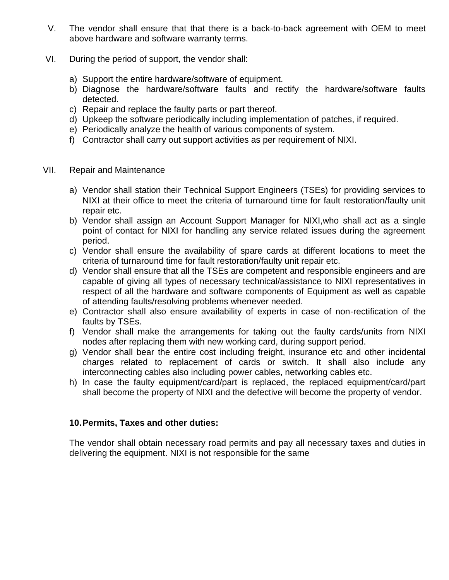- V. The vendor shall ensure that that there is a back-to-back agreement with OEM to meet above hardware and software warranty terms.
- VI. During the period of support, the vendor shall:
	- a) Support the entire hardware/software of equipment.
	- b) Diagnose the hardware/software faults and rectify the hardware/software faults detected.
	- c) Repair and replace the faulty parts or part thereof.
	- d) Upkeep the software periodically including implementation of patches, if required.
	- e) Periodically analyze the health of various components of system.
	- f) Contractor shall carry out support activities as per requirement of NIXI.
- VII. Repair and Maintenance
	- a) Vendor shall station their Technical Support Engineers (TSEs) for providing services to NIXI at their office to meet the criteria of turnaround time for fault restoration/faulty unit repair etc.
	- b) Vendor shall assign an Account Support Manager for NIXI,who shall act as a single point of contact for NIXI for handling any service related issues during the agreement period.
	- c) Vendor shall ensure the availability of spare cards at different locations to meet the criteria of turnaround time for fault restoration/faulty unit repair etc.
	- d) Vendor shall ensure that all the TSEs are competent and responsible engineers and are capable of giving all types of necessary technical/assistance to NIXI representatives in respect of all the hardware and software components of Equipment as well as capable of attending faults/resolving problems whenever needed.
	- e) Contractor shall also ensure availability of experts in case of non-rectification of the faults by TSEs.
	- f) Vendor shall make the arrangements for taking out the faulty cards/units from NIXI nodes after replacing them with new working card, during support period.
	- g) Vendor shall bear the entire cost including freight, insurance etc and other incidental charges related to replacement of cards or switch. It shall also include any interconnecting cables also including power cables, networking cables etc.
	- h) In case the faulty equipment/card/part is replaced, the replaced equipment/card/part shall become the property of NIXI and the defective will become the property of vendor.

#### **10.Permits, Taxes and other duties:**

The vendor shall obtain necessary road permits and pay all necessary taxes and duties in delivering the equipment. NIXI is not responsible for the same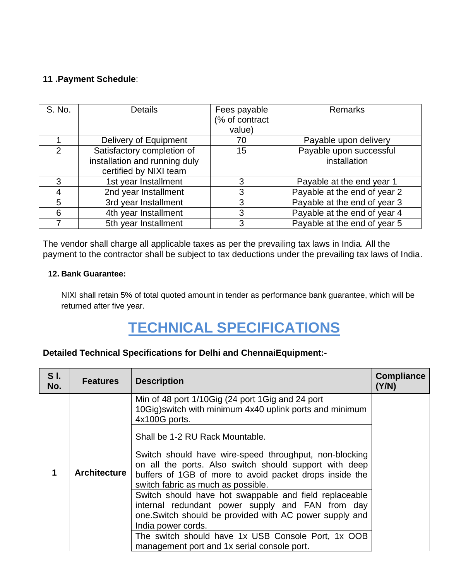#### **11 .Payment Schedule**:

| S. No. | <b>Details</b>                | Fees payable<br>(% of contract | <b>Remarks</b>               |  |
|--------|-------------------------------|--------------------------------|------------------------------|--|
|        |                               | value)                         |                              |  |
|        | Delivery of Equipment         | 70                             | Payable upon delivery        |  |
| 2      | Satisfactory completion of    | 15                             | Payable upon successful      |  |
|        | installation and running duly |                                | installation                 |  |
|        | certified by NIXI team        |                                |                              |  |
| 3      | 1st year Installment          | 3                              | Payable at the end year 1    |  |
|        | 2nd year Installment          | 3                              | Payable at the end of year 2 |  |
| 5      | 3rd year Installment          | 3                              | Payable at the end of year 3 |  |
| 6      | 4th year Installment          | 3                              | Payable at the end of year 4 |  |
|        | 5th year Installment          | 3                              | Payable at the end of year 5 |  |

The vendor shall charge all applicable taxes as per the prevailing tax laws in India. All the payment to the contractor shall be subject to tax deductions under the prevailing tax laws of India.

#### **12. Bank Guarantee:**

NIXI shall retain 5% of total quoted amount in tender as performance bank guarantee, which will be returned after five year.

# **TECHNICAL SPECIFICATIONS**

#### **Detailed Technical Specifications for Delhi and ChennaiEquipment:-**

| S <sub>L</sub><br>No. | <b>Features</b>     | <b>Description</b>                                                                                                            | <b>Compliance</b><br>(Y/N) |
|-----------------------|---------------------|-------------------------------------------------------------------------------------------------------------------------------|----------------------------|
|                       |                     | Min of 48 port 1/10Gig (24 port 1Gig and 24 port<br>10Gig) switch with minimum 4x40 uplink ports and minimum<br>4x100G ports. |                            |
|                       |                     | Shall be 1-2 RU Rack Mountable.                                                                                               |                            |
|                       |                     | Switch should have wire-speed throughput, non-blocking<br>on all the ports. Also switch should support with deep              |                            |
| 1                     | <b>Architecture</b> | buffers of 1GB of more to avoid packet drops inside the<br>switch fabric as much as possible.                                 |                            |
|                       |                     | Switch should have hot swappable and field replaceable<br>internal redundant power supply and FAN from day                    |                            |
|                       |                     | one.Switch should be provided with AC power supply and<br>India power cords.                                                  |                            |
|                       |                     | The switch should have 1x USB Console Port, 1x OOB                                                                            |                            |
|                       |                     | management port and 1x serial console port.                                                                                   |                            |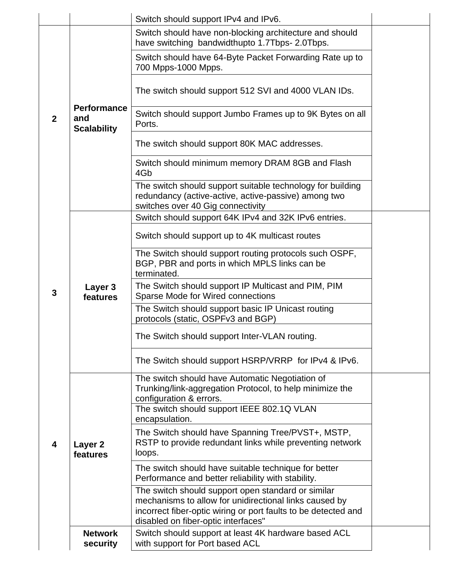|             |                                                 | Switch should support IPv4 and IPv6.                                                                                                                                                                                  |  |
|-------------|-------------------------------------------------|-----------------------------------------------------------------------------------------------------------------------------------------------------------------------------------------------------------------------|--|
|             |                                                 | Switch should have non-blocking architecture and should<br>have switching bandwidthupto 1.7Tbps- 2.0Tbps.                                                                                                             |  |
|             |                                                 | Switch should have 64-Byte Packet Forwarding Rate up to<br>700 Mpps-1000 Mpps.                                                                                                                                        |  |
|             |                                                 | The switch should support 512 SVI and 4000 VLAN IDs.                                                                                                                                                                  |  |
| $\mathbf 2$ | <b>Performance</b><br>and<br><b>Scalability</b> | Switch should support Jumbo Frames up to 9K Bytes on all<br>Ports.                                                                                                                                                    |  |
|             |                                                 | The switch should support 80K MAC addresses.                                                                                                                                                                          |  |
|             |                                                 | Switch should minimum memory DRAM 8GB and Flash<br>4Gb                                                                                                                                                                |  |
|             |                                                 | The switch should support suitable technology for building<br>redundancy (active-active, active-passive) among two<br>switches over 40 Gig connectivity                                                               |  |
|             |                                                 | Switch should support 64K IPv4 and 32K IPv6 entries.                                                                                                                                                                  |  |
|             |                                                 | Switch should support up to 4K multicast routes                                                                                                                                                                       |  |
|             |                                                 | The Switch should support routing protocols such OSPF,<br>BGP, PBR and ports in which MPLS links can be<br>terminated.                                                                                                |  |
| 3           | Layer 3<br>features                             | The Switch should support IP Multicast and PIM, PIM<br>Sparse Mode for Wired connections                                                                                                                              |  |
|             |                                                 | The Switch should support basic IP Unicast routing<br>protocols (static, OSPFv3 and BGP)                                                                                                                              |  |
|             |                                                 | The Switch should support Inter-VLAN routing.                                                                                                                                                                         |  |
|             |                                                 | The Switch should support HSRP/VRRP for IPv4 & IPv6.                                                                                                                                                                  |  |
|             |                                                 | The switch should have Automatic Negotiation of<br>Trunking/link-aggregation Protocol, to help minimize the<br>configuration & errors.                                                                                |  |
|             |                                                 | The switch should support IEEE 802.1Q VLAN<br>encapsulation.                                                                                                                                                          |  |
| 4           | Layer 2<br>features                             | The Switch should have Spanning Tree/PVST+, MSTP,<br>RSTP to provide redundant links while preventing network<br>loops.                                                                                               |  |
|             |                                                 | The switch should have suitable technique for better<br>Performance and better reliability with stability.                                                                                                            |  |
|             |                                                 | The switch should support open standard or similar<br>mechanisms to allow for unidirectional links caused by<br>incorrect fiber-optic wiring or port faults to be detected and<br>disabled on fiber-optic interfaces" |  |
|             | <b>Network</b><br>security                      | Switch should support at least 4K hardware based ACL<br>with support for Port based ACL                                                                                                                               |  |
|             |                                                 |                                                                                                                                                                                                                       |  |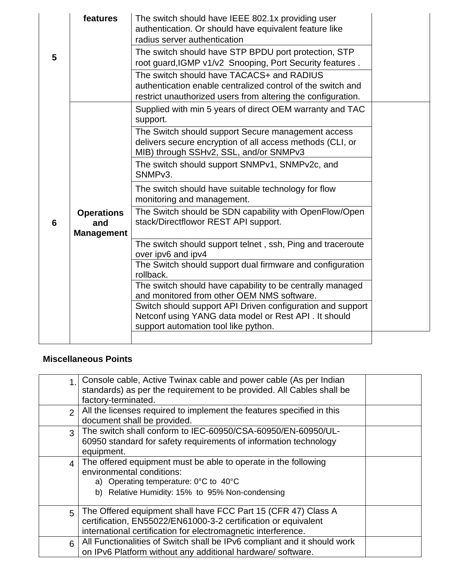|                 | features                                      | The switch should have IEEE 802.1x providing user<br>authentication. Or should have equivalent feature like<br>radius server authentication                              |  |
|-----------------|-----------------------------------------------|--------------------------------------------------------------------------------------------------------------------------------------------------------------------------|--|
| 5               |                                               | The switch should have STP BPDU port protection, STP<br>root guard, IGMP v1/v2 Snooping, Port Security features.                                                         |  |
|                 |                                               | The switch should have TACACS+ and RADIUS<br>authentication enable centralized control of the switch and<br>restrict unauthorized users from altering the configuration. |  |
|                 |                                               | Supplied with min 5 years of direct OEM warranty and TAC<br>support.                                                                                                     |  |
|                 |                                               | The Switch should support Secure management access<br>delivers secure encryption of all access methods (CLI, or<br>MIB) through SSHv2, SSL, and/or SNMPv3                |  |
|                 |                                               | The switch should support SNMPv1, SNMPv2c, and<br>SNMP <sub>v3</sub> .                                                                                                   |  |
|                 |                                               | The switch should have suitable technology for flow<br>monitoring and management.                                                                                        |  |
| $6\phantom{1}6$ | <b>Operations</b><br>and<br><b>Management</b> | The Switch should be SDN capability with OpenFlow/Open<br>stack/Directflowor REST API support.                                                                           |  |
|                 |                                               | The switch should support telnet, ssh, Ping and traceroute<br>over ipv6 and ipv4                                                                                         |  |
|                 |                                               | The Switch should support dual firmware and configuration<br>rollback.                                                                                                   |  |
|                 |                                               | The switch should have capability to be centrally managed<br>and monitored from other OEM NMS software.                                                                  |  |
|                 |                                               | Switch should support API Driven configuration and support<br>Netconf using YANG data model or Rest API . It should<br>support automation tool like python.              |  |
|                 |                                               |                                                                                                                                                                          |  |

## **Miscellaneous Points**

| 1                        | Console cable, Active Twinax cable and power cable (As per Indian<br>standards) as per the requirement to be provided. All Cables shall be<br>factory-terminated.                                           |  |
|--------------------------|-------------------------------------------------------------------------------------------------------------------------------------------------------------------------------------------------------------|--|
| $\overline{2}$           | All the licenses required to implement the features specified in this<br>document shall be provided.                                                                                                        |  |
| 3                        | The switch shall conform to IEC-60950/CSA-60950/EN-60950/UL-<br>60950 standard for safety requirements of information technology<br>equipment.                                                              |  |
| $\overline{\mathcal{L}}$ | The offered equipment must be able to operate in the following<br>environmental conditions:<br>a) Operating temperature: $0^{\circ}$ C to $40^{\circ}$ C<br>b) Relative Humidity: 15% to 95% Non-condensing |  |
| 5                        | The Offered equipment shall have FCC Part 15 (CFR 47) Class A<br>certification, EN55022/EN61000-3-2 certification or equivalent<br>international certification for electromagnetic interference.            |  |
| 6                        | All Functionalities of Switch shall be IPv6 compliant and it should work<br>on IPv6 Platform without any additional hardware/ software.                                                                     |  |